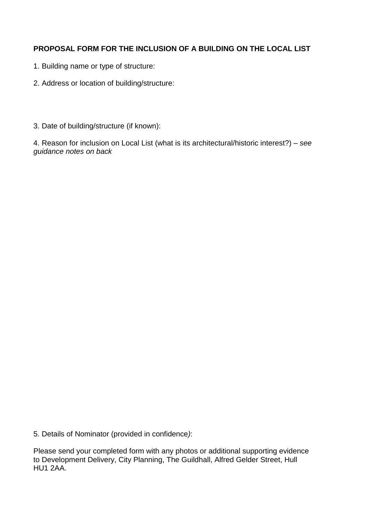## **PROPOSAL FORM FOR THE INCLUSION OF A BUILDING ON THE LOCAL LIST**

- 1. Building name or type of structure:
- 2. Address or location of building/structure:
- 3. Date of building/structure (if known):

4. Reason for inclusion on Local List (what is its architectural/historic interest?) – *see guidance notes on back*

5. Details of Nominator (provided in confidence*)*:

Please send your completed form with any photos or additional supporting evidence to Development Delivery, City Planning, The Guildhall, Alfred Gelder Street, Hull HU1 2AA.